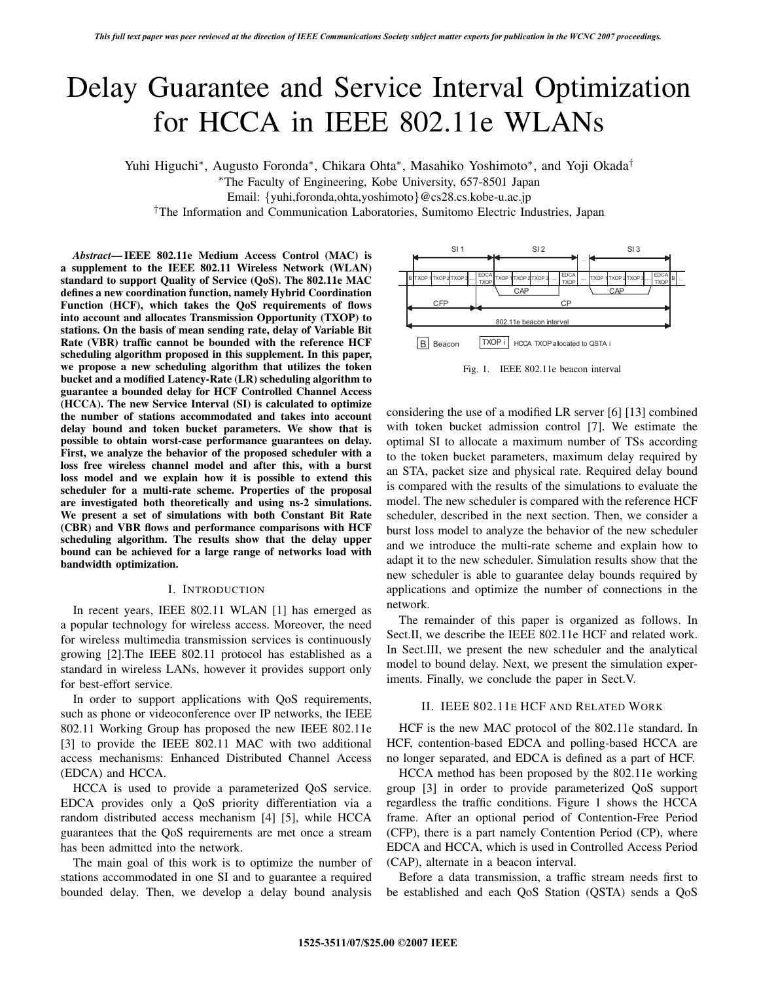# Delay Guarantee and Service Interval Optimization for HCCA in IEEE 802.11e WLANs

Yuhi Higuchi∗, Augusto Foronda∗, Chikara Ohta∗, Masahiko Yoshimoto∗, and Yoji Okada†

∗The Faculty of Engineering, Kobe University, 657-8501 Japan

Email: {yuhi,foronda,ohta,yoshimoto}@cs28.cs.kobe-u.ac.jp

†The Information and Communication Laboratories, Sumitomo Electric Industries, Japan

*Abstract***— IEEE 802.11e Medium Access Control (MAC) is a supplement to the IEEE 802.11 Wireless Network (WLAN) standard to support Quality of Service (QoS). The 802.11e MAC defines a new coordination function, namely Hybrid Coordination Function (HCF), which takes the QoS requirements of flows into account and allocates Transmission Opportunity (TXOP) to stations. On the basis of mean sending rate, delay of Variable Bit Rate (VBR) traffic cannot be bounded with the reference HCF scheduling algorithm proposed in this supplement. In this paper, we propose a new scheduling algorithm that utilizes the token bucket and a modified Latency-Rate (LR) scheduling algorithm to guarantee a bounded delay for HCF Controlled Channel Access (HCCA). The new Service Interval (SI) is calculated to optimize the number of stations accommodated and takes into account delay bound and token bucket parameters. We show that is possible to obtain worst-case performance guarantees on delay. First, we analyze the behavior of the proposed scheduler with a loss free wireless channel model and after this, with a burst loss model and we explain how it is possible to extend this scheduler for a multi-rate scheme. Properties of the proposal are investigated both theoretically and using ns-2 simulations. We present a set of simulations with both Constant Bit Rate (CBR) and VBR flows and performance comparisons with HCF scheduling algorithm. The results show that the delay upper bound can be achieved for a large range of networks load with bandwidth optimization.**

#### I. INTRODUCTION

In recent years, IEEE 802.11 WLAN [1] has emerged as a popular technology for wireless access. Moreover, the need for wireless multimedia transmission services is continuously growing [2].The IEEE 802.11 protocol has established as a standard in wireless LANs, however it provides support only for best-effort service.

In order to support applications with QoS requirements, such as phone or videoconference over IP networks, the IEEE 802.11 Working Group has proposed the new IEEE 802.11e [3] to provide the IEEE 802.11 MAC with two additional access mechanisms: Enhanced Distributed Channel Access (EDCA) and HCCA.

HCCA is used to provide a parameterized QoS service. EDCA provides only a QoS priority differentiation via a random distributed access mechanism [4] [5], while HCCA guarantees that the QoS requirements are met once a stream has been admitted into the network.

The main goal of this work is to optimize the number of stations accommodated in one SI and to guarantee a required bounded delay. Then, we develop a delay bound analysis



Fig. 1. IEEE 802.11e beacon interval

considering the use of a modified LR server [6] [13] combined with token bucket admission control [7]. We estimate the optimal SI to allocate a maximum number of TSs according to the token bucket parameters, maximum delay required by an STA, packet size and physical rate. Required delay bound is compared with the results of the simulations to evaluate the model. The new scheduler is compared with the reference HCF scheduler, described in the next section. Then, we consider a burst loss model to analyze the behavior of the new scheduler and we introduce the multi-rate scheme and explain how to adapt it to the new scheduler. Simulation results show that the new scheduler is able to guarantee delay bounds required by applications and optimize the number of connections in the network.

The remainder of this paper is organized as follows. In Sect.II, we describe the IEEE 802.11e HCF and related work. In Sect.III, we present the new scheduler and the analytical model to bound delay. Next, we present the simulation experiments. Finally, we conclude the paper in Sect.V.

### II. IEEE 802.11E HCF AND RELATED WORK

HCF is the new MAC protocol of the 802.11e standard. In HCF, contention-based EDCA and polling-based HCCA are no longer separated, and EDCA is defined as a part of HCF.

HCCA method has been proposed by the 802.11e working group [3] in order to provide parameterized QoS support regardless the traffic conditions. Figure 1 shows the HCCA frame. After an optional period of Contention-Free Period (CFP), there is a part namely Contention Period (CP), where EDCA and HCCA, which is used in Controlled Access Period (CAP), alternate in a beacon interval.

Before a data transmission, a traffic stream needs first to be established and each QoS Station (QSTA) sends a QoS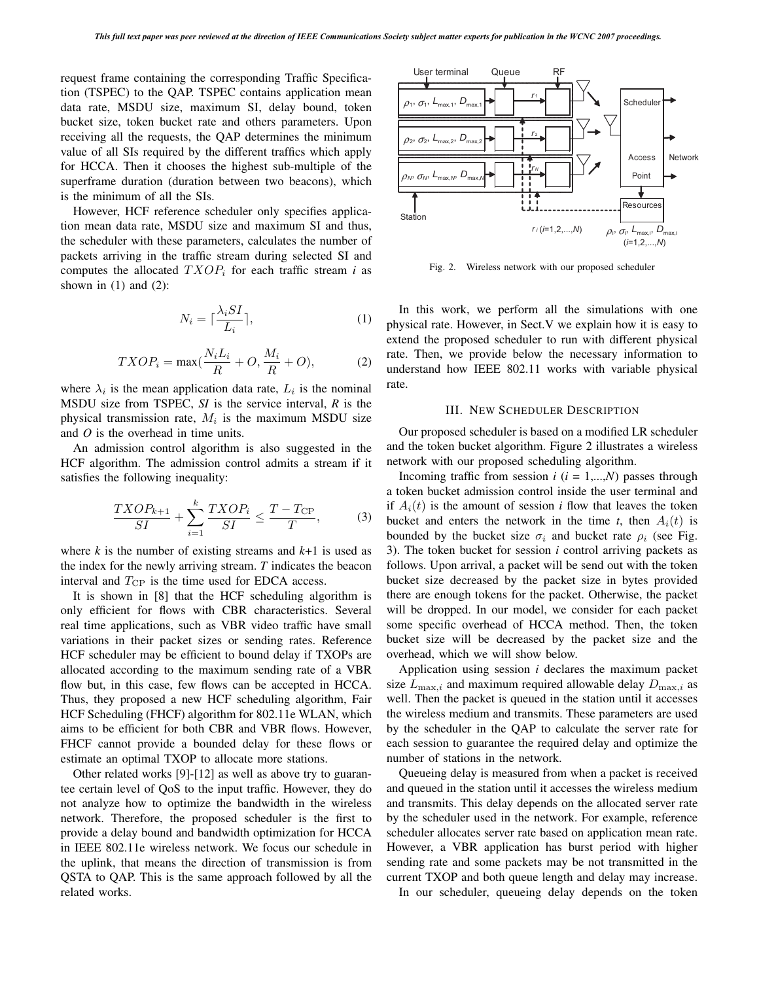request frame containing the corresponding Traffic Specification (TSPEC) to the QAP. TSPEC contains application mean data rate, MSDU size, maximum SI, delay bound, token bucket size, token bucket rate and others parameters. Upon receiving all the requests, the QAP determines the minimum value of all SIs required by the different traffics which apply for HCCA. Then it chooses the highest sub-multiple of the superframe duration (duration between two beacons), which is the minimum of all the SIs.

However, HCF reference scheduler only specifies application mean data rate, MSDU size and maximum SI and thus, the scheduler with these parameters, calculates the number of packets arriving in the traffic stream during selected SI and computes the allocated  $TXOP_i$  for each traffic stream *i* as shown in  $(1)$  and  $(2)$ :

$$
N_i = \lceil \frac{\lambda_i S I}{L_i} \rceil,\tag{1}
$$

$$
TXOP_i = \max(\frac{N_i L_i}{R} + O, \frac{M_i}{R} + O),\tag{2}
$$

where  $\lambda_i$  is the mean application data rate,  $L_i$  is the nominal MSDU size from TSPEC, *SI* is the service interval, *R* is the physical transmission rate, M*<sup>i</sup>* is the maximum MSDU size and *O* is the overhead in time units.

An admission control algorithm is also suggested in the HCF algorithm. The admission control admits a stream if it satisfies the following inequality:

$$
\frac{TXOP_{k+1}}{SI} + \sum_{i=1}^{k} \frac{TXOP_i}{SI} \le \frac{T - T_{\rm CP}}{T},\tag{3}
$$

where  $k$  is the number of existing streams and  $k+1$  is used as the index for the newly arriving stream. *T* indicates the beacon interval and  $T_{\rm CP}$  is the time used for EDCA access.

It is shown in [8] that the HCF scheduling algorithm is only efficient for flows with CBR characteristics. Several real time applications, such as VBR video traffic have small variations in their packet sizes or sending rates. Reference HCF scheduler may be efficient to bound delay if TXOPs are allocated according to the maximum sending rate of a VBR flow but, in this case, few flows can be accepted in HCCA. Thus, they proposed a new HCF scheduling algorithm, Fair HCF Scheduling (FHCF) algorithm for 802.11e WLAN, which aims to be efficient for both CBR and VBR flows. However, FHCF cannot provide a bounded delay for these flows or estimate an optimal TXOP to allocate more stations.

Other related works [9]-[12] as well as above try to guarantee certain level of QoS to the input traffic. However, they do not analyze how to optimize the bandwidth in the wireless network. Therefore, the proposed scheduler is the first to provide a delay bound and bandwidth optimization for HCCA in IEEE 802.11e wireless network. We focus our schedule in the uplink, that means the direction of transmission is from QSTA to QAP. This is the same approach followed by all the related works.



Fig. 2. Wireless network with our proposed scheduler

In this work, we perform all the simulations with one physical rate. However, in Sect.V we explain how it is easy to extend the proposed scheduler to run with different physical rate. Then, we provide below the necessary information to understand how IEEE 802.11 works with variable physical rate.

## III. NEW SCHEDULER DESCRIPTION

Our proposed scheduler is based on a modified LR scheduler and the token bucket algorithm. Figure 2 illustrates a wireless network with our proposed scheduling algorithm.

Incoming traffic from session  $i$  ( $i = 1,...,N$ ) passes through a token bucket admission control inside the user terminal and if  $A_i(t)$  is the amount of session *i* flow that leaves the token bucket and enters the network in the time  $t$ , then  $A_i(t)$  is bounded by the bucket size  $\sigma_i$  and bucket rate  $\rho_i$  (see Fig. 3). The token bucket for session *i* control arriving packets as follows. Upon arrival, a packet will be send out with the token bucket size decreased by the packet size in bytes provided there are enough tokens for the packet. Otherwise, the packet will be dropped. In our model, we consider for each packet some specific overhead of HCCA method. Then, the token bucket size will be decreased by the packet size and the overhead, which we will show below.

Application using session *i* declares the maximum packet size  $L_{\text{max},i}$  and maximum required allowable delay  $D_{\text{max},i}$  as well. Then the packet is queued in the station until it accesses the wireless medium and transmits. These parameters are used by the scheduler in the QAP to calculate the server rate for each session to guarantee the required delay and optimize the number of stations in the network.

Queueing delay is measured from when a packet is received and queued in the station until it accesses the wireless medium and transmits. This delay depends on the allocated server rate by the scheduler used in the network. For example, reference scheduler allocates server rate based on application mean rate. However, a VBR application has burst period with higher sending rate and some packets may be not transmitted in the current TXOP and both queue length and delay may increase.

In our scheduler, queueing delay depends on the token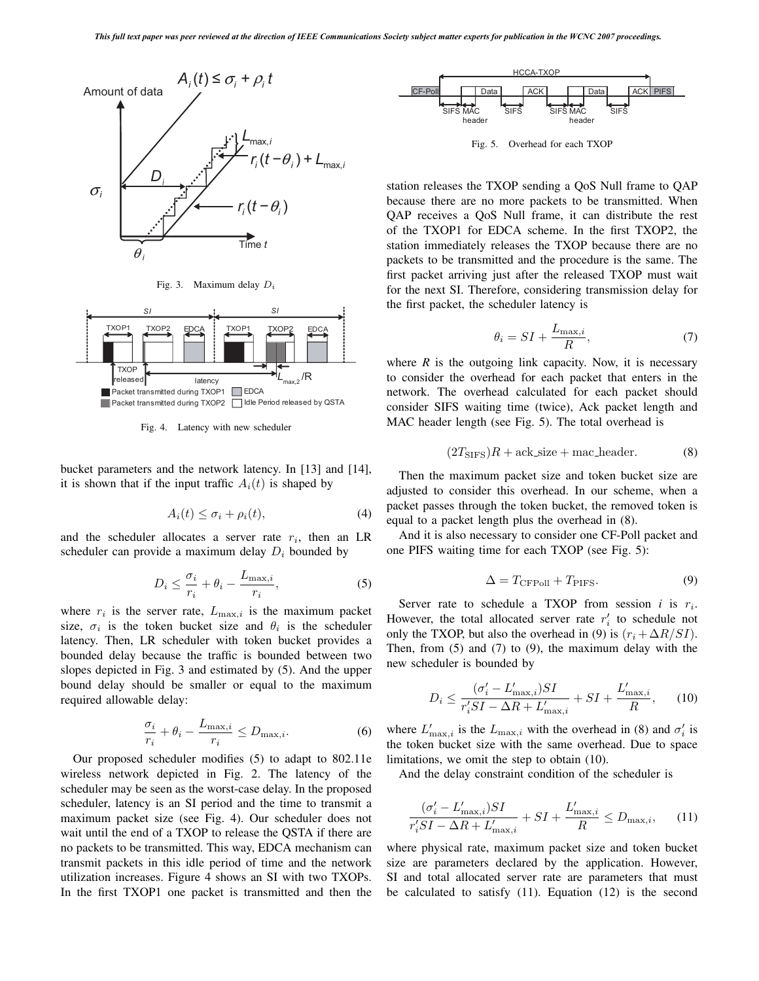

Fig. 3. Maximum delay *D<sup>i</sup>*



Fig. 4. Latency with new scheduler

bucket parameters and the network latency. In [13] and [14], it is shown that if the input traffic  $A_i(t)$  is shaped by

$$
A_i(t) \le \sigma_i + \rho_i(t), \tag{4}
$$

and the scheduler allocates a server rate r*i*, then an LR scheduler can provide a maximum delay D*<sup>i</sup>* bounded by

$$
D_i \le \frac{\sigma_i}{r_i} + \theta_i - \frac{L_{\text{max},i}}{r_i},\tag{5}
$$

where  $r_i$  is the server rate,  $L_{\text{max},i}$  is the maximum packet size,  $\sigma_i$  is the token bucket size and  $\theta_i$  is the scheduler latency. Then, LR scheduler with token bucket provides a bounded delay because the traffic is bounded between two slopes depicted in Fig. 3 and estimated by (5). And the upper bound delay should be smaller or equal to the maximum required allowable delay:

$$
\frac{\sigma_i}{r_i} + \theta_i - \frac{L_{\text{max},i}}{r_i} \le D_{\text{max},i}.\tag{6}
$$

Our proposed scheduler modifies (5) to adapt to 802.11e wireless network depicted in Fig. 2. The latency of the scheduler may be seen as the worst-case delay. In the proposed scheduler, latency is an SI period and the time to transmit a maximum packet size (see Fig. 4). Our scheduler does not wait until the end of a TXOP to release the QSTA if there are no packets to be transmitted. This way, EDCA mechanism can transmit packets in this idle period of time and the network utilization increases. Figure 4 shows an SI with two TXOPs. In the first TXOP1 one packet is transmitted and then the



Fig. 5. Overhead for each TXOP

station releases the TXOP sending a QoS Null frame to QAP because there are no more packets to be transmitted. When QAP receives a QoS Null frame, it can distribute the rest of the TXOP1 for EDCA scheme. In the first TXOP2, the station immediately releases the TXOP because there are no packets to be transmitted and the procedure is the same. The first packet arriving just after the released TXOP must wait for the next SI. Therefore, considering transmission delay for the first packet, the scheduler latency is

$$
\theta_i = SI + \frac{L_{\text{max},i}}{R},\tag{7}
$$

where  $R$  is the outgoing link capacity. Now, it is necessary to consider the overhead for each packet that enters in the network. The overhead calculated for each packet should consider SIFS waiting time (twice), Ack packet length and MAC header length (see Fig. 5). The total overhead is

$$
(2TSIFS)R + \text{ack_size} + \text{mac_hieder.} \tag{8}
$$

Then the maximum packet size and token bucket size are adjusted to consider this overhead. In our scheme, when a packet passes through the token bucket, the removed token is equal to a packet length plus the overhead in (8).

And it is also necessary to consider one CF-Poll packet and one PIFS waiting time for each TXOP (see Fig. 5):

$$
\Delta = T_{\text{CFPoll}} + T_{\text{PIFS}}.\tag{9}
$$

Server rate to schedule a TXOP from session *i* is r*i*. However, the total allocated server rate  $r_i'$  to schedule not only the TXOP, but also the overhead in (9) is  $(r_i + \Delta R/SI)$ . Then, from (5) and (7) to (9), the maximum delay with the new scheduler is bounded by

$$
D_i \le \frac{(\sigma_i' - L'_{\text{max},i})SI}{r_i'SI - \Delta R + L'_{\text{max},i}} + SI + \frac{L'_{\text{max},i}}{R},\qquad(10)
$$

where  $L'_{\text{max},i}$  is the  $L_{\text{max},i}$  with the overhead in (8) and  $\sigma'_{i}$  is the token bucket size with the same overhead. Due to space limitations, we omit the step to obtain (10).

And the delay constraint condition of the scheduler is

$$
\frac{(\sigma_i' - L'_{\text{max},i})SI}{r_i'SI - \Delta R + L'_{\text{max},i}} + SI + \frac{L'_{\text{max},i}}{R} \le D_{\text{max},i},\qquad(11)
$$

where physical rate, maximum packet size and token bucket size are parameters declared by the application. However, SI and total allocated server rate are parameters that must be calculated to satisfy (11). Equation (12) is the second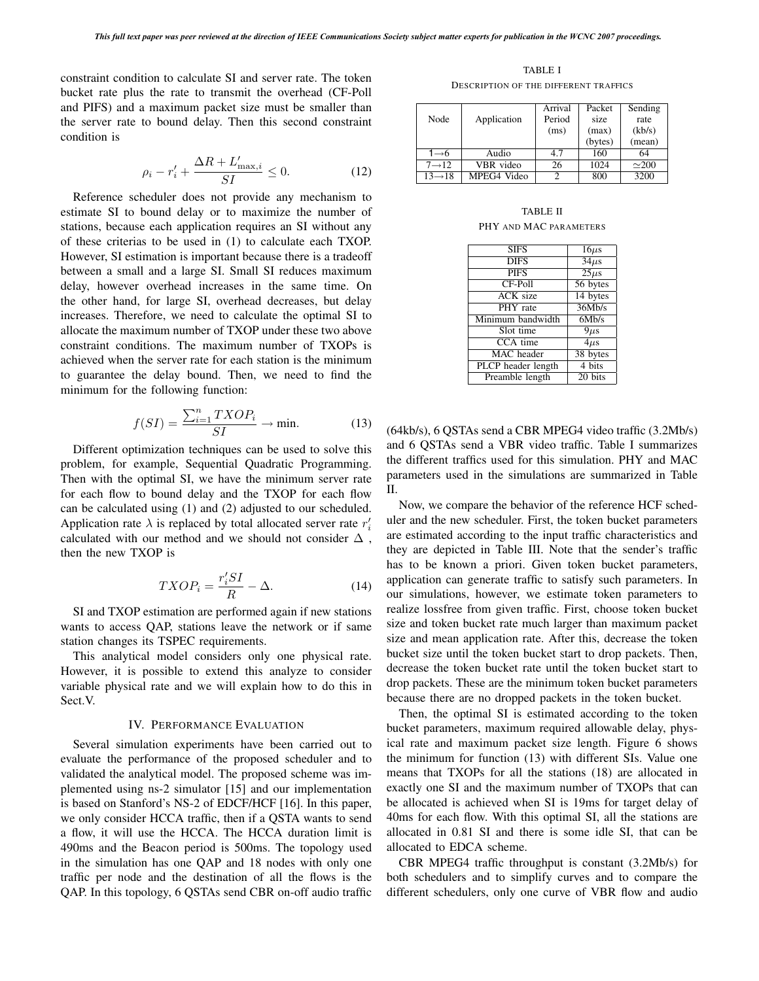constraint condition to calculate SI and server rate. The token bucket rate plus the rate to transmit the overhead (CF-Poll and PIFS) and a maximum packet size must be smaller than the server rate to bound delay. Then this second constraint condition is

$$
\rho_i - r_i' + \frac{\Delta R + L'_{\text{max},i}}{SI} \le 0. \tag{12}
$$

Reference scheduler does not provide any mechanism to estimate SI to bound delay or to maximize the number of stations, because each application requires an SI without any of these criterias to be used in (1) to calculate each TXOP. However, SI estimation is important because there is a tradeoff between a small and a large SI. Small SI reduces maximum delay, however overhead increases in the same time. On the other hand, for large SI, overhead decreases, but delay increases. Therefore, we need to calculate the optimal SI to allocate the maximum number of TXOP under these two above constraint conditions. The maximum number of TXOPs is achieved when the server rate for each station is the minimum to guarantee the delay bound. Then, we need to find the minimum for the following function:

$$
f(SI) = \frac{\sum_{i=1}^{n} TXOP_i}{SI} \to \text{min.}
$$
 (13)

Different optimization techniques can be used to solve this problem, for example, Sequential Quadratic Programming. Then with the optimal SI, we have the minimum server rate for each flow to bound delay and the TXOP for each flow can be calculated using (1) and (2) adjusted to our scheduled. Application rate  $\lambda$  is replaced by total allocated server rate  $r_i'$ calculated with our method and we should not consider  $\Delta$ , then the new TXOP is

$$
TXOP_i = \frac{r_i'SI}{R} - \Delta.
$$
 (14)

SI and TXOP estimation are performed again if new stations wants to access QAP, stations leave the network or if same station changes its TSPEC requirements.

This analytical model considers only one physical rate. However, it is possible to extend this analyze to consider variable physical rate and we will explain how to do this in Sect.V.

#### IV. PERFORMANCE EVALUATION

Several simulation experiments have been carried out to evaluate the performance of the proposed scheduler and to validated the analytical model. The proposed scheme was implemented using ns-2 simulator [15] and our implementation is based on Stanford's NS-2 of EDCF/HCF [16]. In this paper, we only consider HCCA traffic, then if a QSTA wants to send a flow, it will use the HCCA. The HCCA duration limit is 490ms and the Beacon period is 500ms. The topology used in the simulation has one QAP and 18 nodes with only one traffic per node and the destination of all the flows is the QAP. In this topology, 6 QSTAs send CBR on-off audio traffic

TABLE I DESCRIPTION OF THE DIFFERENT TRAFFICS

|                     |             | Arrival | Packet  | Sending       |  |
|---------------------|-------------|---------|---------|---------------|--|
| Node                | Application | Period  | size    | rate          |  |
|                     |             | (ms)    | (max)   | (kb/s)        |  |
|                     |             |         | (bytes) | (mean)        |  |
| 1→6                 | Audio       | 47      | 160     | 64            |  |
| $7 \rightarrow 12$  | VBR video   | 26      | 1024    | $\approx 200$ |  |
| $13 \rightarrow 18$ | MPEG4 Video |         | 800     | 3200          |  |

TABLE II PHY AND MAC PARAMETERS

| <b>SIFS</b>        | $16\mu s$            |
|--------------------|----------------------|
| <b>DIFS</b>        | $\overline{34\mu s}$ |
| <b>PIFS</b>        | $\overline{25\mu s}$ |
| CF-Poll            | 56 bytes             |
| <b>ACK</b> size    | 14 bytes             |
| PHY rate           | 36Mb/s               |
| Minimum bandwidth  | 6Mb/s                |
| Slot time          | $9\mu s$             |
| $CCA$ time         | $4\mu s$             |
| <b>MAC</b> header  | 38 bytes             |
| PLCP header length | 4 bits               |
| Preamble length    | $\overline{20}$ bits |

(64kb/s), 6 QSTAs send a CBR MPEG4 video traffic (3.2Mb/s) and 6 QSTAs send a VBR video traffic. Table I summarizes the different traffics used for this simulation. PHY and MAC parameters used in the simulations are summarized in Table II.

Now, we compare the behavior of the reference HCF scheduler and the new scheduler. First, the token bucket parameters are estimated according to the input traffic characteristics and they are depicted in Table III. Note that the sender's traffic has to be known a priori. Given token bucket parameters, application can generate traffic to satisfy such parameters. In our simulations, however, we estimate token parameters to realize lossfree from given traffic. First, choose token bucket size and token bucket rate much larger than maximum packet size and mean application rate. After this, decrease the token bucket size until the token bucket start to drop packets. Then, decrease the token bucket rate until the token bucket start to drop packets. These are the minimum token bucket parameters because there are no dropped packets in the token bucket.

Then, the optimal SI is estimated according to the token bucket parameters, maximum required allowable delay, physical rate and maximum packet size length. Figure 6 shows the minimum for function (13) with different SIs. Value one means that TXOPs for all the stations (18) are allocated in exactly one SI and the maximum number of TXOPs that can be allocated is achieved when SI is 19ms for target delay of 40ms for each flow. With this optimal SI, all the stations are allocated in 0.81 SI and there is some idle SI, that can be allocated to EDCA scheme.

CBR MPEG4 traffic throughput is constant (3.2Mb/s) for both schedulers and to simplify curves and to compare the different schedulers, only one curve of VBR flow and audio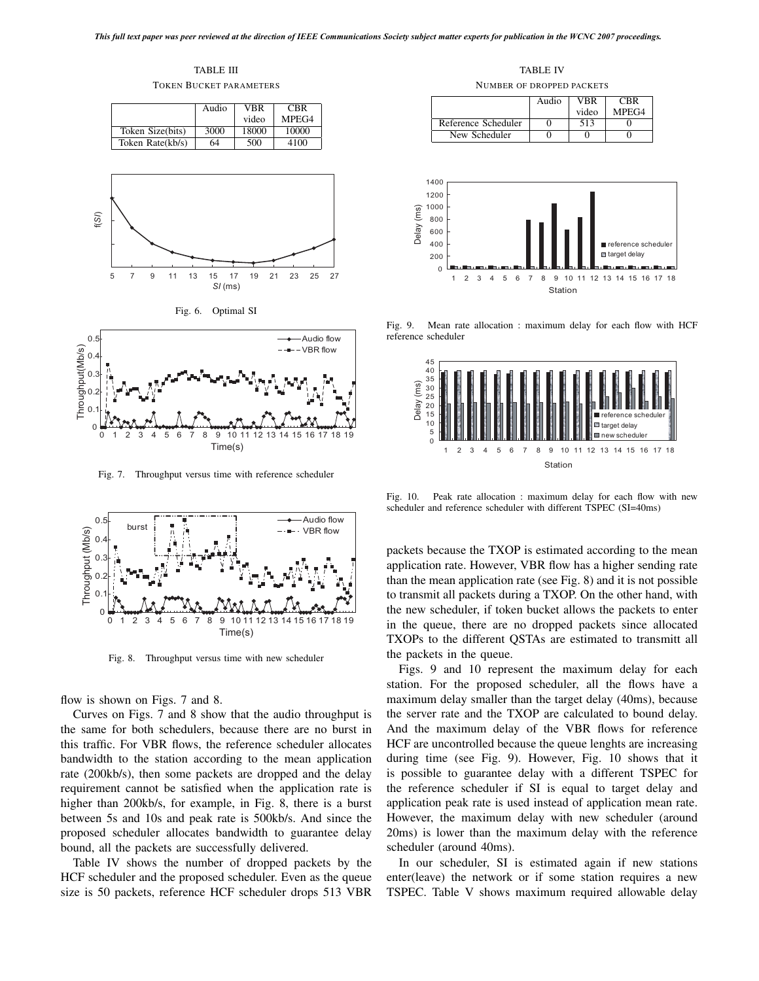TABLE III

TOKEN BUCKET PARAMETERS

|                  | Audio | VBR   | <b>CBR</b> |
|------------------|-------|-------|------------|
|                  |       | video | MPEG4      |
| Token Size(bits) | 3000  | 18000 | 10000      |
| Token Rate(kb/s) | 64    | 500   | 4100       |







Fig. 7. Throughput versus time with reference scheduler



Fig. 8. Throughput versus time with new scheduler

flow is shown on Figs. 7 and 8.

Curves on Figs. 7 and 8 show that the audio throughput is the same for both schedulers, because there are no burst in this traffic. For VBR flows, the reference scheduler allocates bandwidth to the station according to the mean application rate (200kb/s), then some packets are dropped and the delay requirement cannot be satisfied when the application rate is higher than 200kb/s, for example, in Fig. 8, there is a burst between 5s and 10s and peak rate is 500kb/s. And since the proposed scheduler allocates bandwidth to guarantee delay bound, all the packets are successfully delivered.

Table IV shows the number of dropped packets by the HCF scheduler and the proposed scheduler. Even as the queue size is 50 packets, reference HCF scheduler drops 513 VBR

TABLE IV

NUMBER OF DROPPED PACKETS

|                     | Audio | VBR   | CBR   |  |
|---------------------|-------|-------|-------|--|
|                     |       | video | MPEG4 |  |
| Reference Scheduler |       | 513   |       |  |
| New Scheduler       |       |       |       |  |



Fig. 9. Mean rate allocation : maximum delay for each flow with HCF reference scheduler



Fig. 10. Peak rate allocation : maximum delay for each flow with new scheduler and reference scheduler with different TSPEC (SI=40ms)

packets because the TXOP is estimated according to the mean application rate. However, VBR flow has a higher sending rate than the mean application rate (see Fig. 8) and it is not possible to transmit all packets during a TXOP. On the other hand, with the new scheduler, if token bucket allows the packets to enter in the queue, there are no dropped packets since allocated TXOPs to the different QSTAs are estimated to transmitt all the packets in the queue.

Figs. 9 and 10 represent the maximum delay for each station. For the proposed scheduler, all the flows have a maximum delay smaller than the target delay (40ms), because the server rate and the TXOP are calculated to bound delay. And the maximum delay of the VBR flows for reference HCF are uncontrolled because the queue lenghts are increasing during time (see Fig. 9). However, Fig. 10 shows that it is possible to guarantee delay with a different TSPEC for the reference scheduler if SI is equal to target delay and application peak rate is used instead of application mean rate. However, the maximum delay with new scheduler (around 20ms) is lower than the maximum delay with the reference scheduler (around 40ms).

In our scheduler, SI is estimated again if new stations enter(leave) the network or if some station requires a new TSPEC. Table V shows maximum required allowable delay